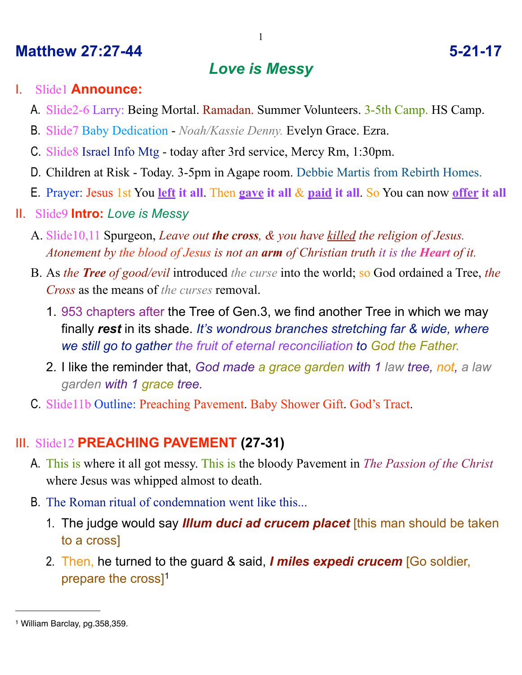## **Matthew 27:27-44 5-21-17**

# *Love is Messy*

#### I. Slide1 **Announce:**

- A. Slide2-6 Larry: Being Mortal. Ramadan. Summer Volunteers. 3-5th Camp. HS Camp.
- B. Slide7 Baby Dedication *Noah/Kassie Denny.* Evelyn Grace. Ezra.
- C. Slide8 Israel Info Mtg today after 3rd service, Mercy Rm, 1:30pm.
- D. Children at Risk Today. 3-5pm in Agape room. Debbie Martis from Rebirth Homes.
- E. Prayer: Jesus 1st You **left it all**. Then **gave it all** & **paid it all**. So You can now **offer it all**
- II. Slide9 **Intro:** *Love is Messy*
	- A. Slide10,11 Spurgeon, *Leave out the cross, & you have killed the religion of Jesus. Atonement by the blood of Jesus is not an arm of Christian truth it is the Heart of it.*
	- B. As *the Tree of good/evil* introduced *the curse* into the world; so God ordained a Tree, *the Cross* as the means of *the curses* removal.
		- 1. 953 chapters after the Tree of Gen.3, we find another Tree in which we may finally *rest* in its shade. *It's wondrous branches stretching far & wide, where we still go to gather the fruit of eternal reconciliation to God the Father.*
		- 2. I like the reminder that, *God made a grace garden with 1 law tree, not, a law garden with 1 grace tree.*
	- C. Slide11b Outline: Preaching Pavement. Baby Shower Gift. God's Tract.

# III. Slide12 **PREACHING PAVEMENT (27-31)**

- A. This is where it all got messy. This is the bloody Pavement in *The Passion of the Christ* where Jesus was whipped almost to death.
- B. The Roman ritual of condemnation went like this...
	- 1. The judge would say *Illum duci ad crucem placet* [this man should be taken to a cross]
	- 2. Then, he turned to the guard & said, *I miles expedi crucem* [Go soldier, prepare the cross][1](#page-0-0)

<span id="page-0-0"></span><sup>1</sup> William Barclay, pg.358,359.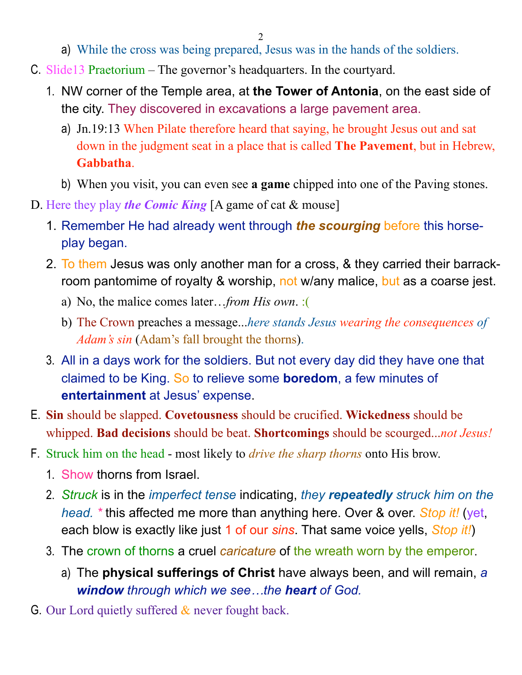- a) While the cross was being prepared, Jesus was in the hands of the soldiers.
- C. Slide13 Praetorium The governor's headquarters. In the courtyard.
	- 1. NW corner of the Temple area, at **the Tower of Antonia**, on the east side of the city. They discovered in excavations a large pavement area.
		- a) Jn.19:13 When Pilate therefore heard that saying, he brought Jesus out and sat down in the judgment seat in a place that is called **The Pavement**, but in Hebrew, **Gabbatha**.
		- b) When you visit, you can even see **a game** chipped into one of the Paving stones.
- D. Here they play *the Comic King* [A game of cat & mouse]
	- 1. Remember He had already went through *the scourging* before this horseplay began.
	- 2. To them Jesus was only another man for a cross, & they carried their barrackroom pantomime of royalty & worship, not w/any malice, but as a coarse jest.
		- a) No, the malice comes later…*from His own*. :(
		- b) The Crown preaches a message...*here stands Jesus wearing the consequences of Adam's sin* (Adam's fall brought the thorns).
	- 3. All in a days work for the soldiers. But not every day did they have one that claimed to be King. So to relieve some **boredom**, a few minutes of **entertainment** at Jesus' expense.
- E. **Sin** should be slapped. **Covetousness** should be crucified. **Wickedness** should be whipped. **Bad decisions** should be beat. **Shortcomings** should be scourged...*not Jesus!*
- F. Struck him on the head most likely to *drive the sharp thorns* onto His brow.
	- 1. Show thorns from Israel.
	- 2. *Struck* is in the *imperfect tense* indicating, *they repeatedly struck him on the head. \** this affected me more than anything here. Over & over. *Stop it!* (yet, each blow is exactly like just 1 of our *sins*. That same voice yells, *Stop it!*)
	- 3. The crown of thorns a cruel *caricature* of the wreath worn by the emperor.
		- a) The **physical sufferings of Christ** have always been, and will remain, *a window through which we see…the heart of God.*
- G. Our Lord quietly suffered  $\&$  never fought back.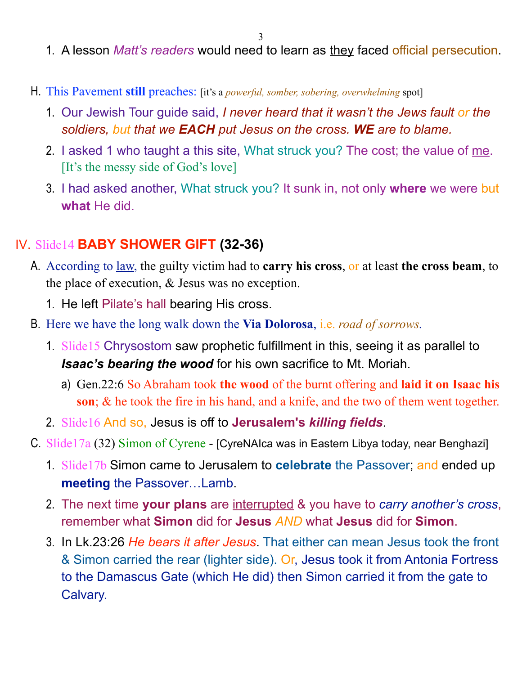- 1. A lesson *Matt's readers* would need to learn as they faced official persecution.
- H. This Pavement **still** preaches: [it's a *powerful, somber, sobering, overwhelming* spot]
	- 1. Our Jewish Tour guide said, *I never heard that it wasn't the Jews fault or the soldiers, but that we EACH put Jesus on the cross. WE are to blame.*
	- 2. I asked 1 who taught a this site, What struck you? The cost; the value of me. [It's the messy side of God's love]
	- 3. I had asked another, What struck you? It sunk in, not only **where** we were but **what** He did.

#### IV. Slide14 **BABY SHOWER GIFT (32-36)**

- A. According to law, the guilty victim had to **carry his cross**, or at least **the cross beam**, to the place of execution, & Jesus was no exception.
	- 1. He left Pilate's hall bearing His cross.
- B. Here we have the long walk down the **Via Dolorosa**, i.e. *road of sorrows.*
	- 1. Slide15 Chrysostom saw prophetic fulfillment in this, seeing it as parallel to *Isaac's bearing the wood* for his own sacrifice to Mt. Moriah.
		- a) Gen.22:6 So Abraham took **the wood** of the burnt offering and **laid it on Isaac his son**; & he took the fire in his hand, and a knife, and the two of them went together.
	- 2. Slide16 And so, Jesus is off to **Jerusalem's** *killing fields*.
- C. Slide17a (32) Simon of Cyrene [CyreNAIca was in Eastern Libya today, near Benghazi]
	- 1. Slide17b Simon came to Jerusalem to **celebrate** the Passover; and ended up **meeting** the Passover…Lamb.
	- 2. The next time **your plans** are interrupted & you have to *carry another's cross*, remember what **Simon** did for **Jesus** *AND* what **Jesus** did for **Simon**.
	- 3. In Lk.23:26 *He bears it after Jesus*. That either can mean Jesus took the front & Simon carried the rear (lighter side). Or, Jesus took it from Antonia Fortress to the Damascus Gate (which He did) then Simon carried it from the gate to Calvary.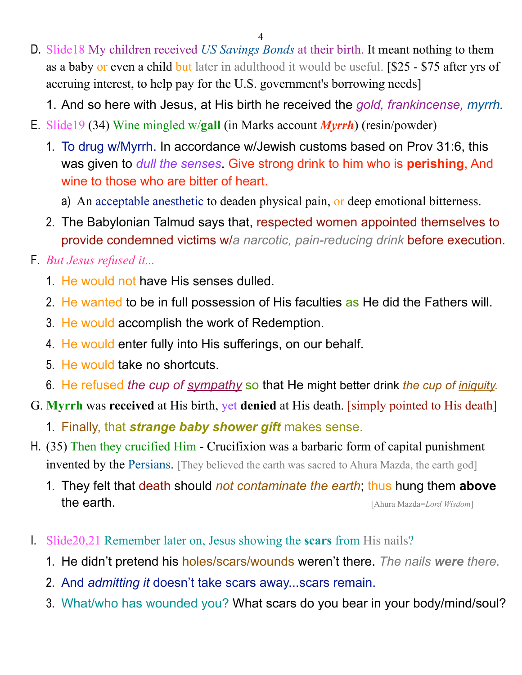- D. Slide18 My children received *US Savings Bonds* at their birth. It meant nothing to them as a baby or even a child but later in adulthood it would be useful. [\$25 - \$75 after yrs of accruing interest, to help pay for the U.S. government's borrowing needs]
	- 1. And so here with Jesus, at His birth he received the *gold, frankincense, myrrh.*
- E. Slide19 (34) Wine mingled w/**gall** (in Marks account *Myrrh*) (resin/powder)
	- 1. To drug w/Myrrh. In accordance w/Jewish customs based on Prov 31:6, this was given to *dull the senses*. Give strong drink to him who is **perishing**, And wine to those who are bitter of heart.
		- a) An acceptable anesthetic to deaden physical pain, or deep emotional bitterness.
	- 2. The Babylonian Talmud says that, respected women appointed themselves to provide condemned victims w/*a narcotic, pain-reducing drink* before execution.
- F. *But Jesus refused it...* 
	- 1. He would not have His senses dulled.
	- 2. He wanted to be in full possession of His faculties as He did the Fathers will.
	- 3. He would accomplish the work of Redemption.
	- 4. He would enter fully into His sufferings, on our behalf.
	- 5. He would take no shortcuts.
	- 6. He refused *the cup of sympathy* so that He might better drink *the cup of iniquity.*
- G. **Myrrh** was **received** at His birth, yet **denied** at His death. [simply pointed to His death]
	- 1. Finally, that *strange baby shower gift* makes sense.
- H. (35) Then they crucified Him Crucifixion was a barbaric form of capital punishment invented by the Persians. [They believed the earth was sacred to Ahura Mazda, the earth god]
	- 1. They felt that death should *not contaminate the earth*; thus hung them **above** the earth. [Ahura Mazda=*Lord Wisdom*]
- I. Slide20,21 Remember later on, Jesus showing the **scars** from His nails?
	- 1. He didn't pretend his holes/scars/wounds weren't there. *The nails were there.*
	- 2. And *admitting it* doesn't take scars away...scars remain.
	- 3. What/who has wounded you? What scars do you bear in your body/mind/soul?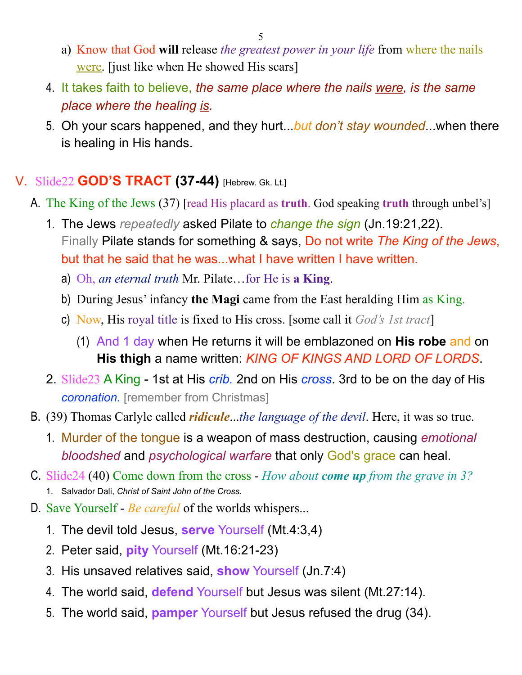- a) Know that God **will** release *the greatest power in your life* from where the nails were. [just like when He showed His scars]
- 4. It takes faith to believe, *the same place where the nails were, is the same place where the healing is.*
- 5. Oh your scars happened, and they hurt...*but don't stay wounded*...when there is healing in His hands.

## V. Slide22 **GOD'S TRACT (37-44)** [Hebrew. Gk. Lt.]

- A. The King of the Jews (37) [read His placard as **truth**. God speaking **truth** through unbel's]
	- 1. The Jews *repeatedly* asked Pilate to *change the sign* (Jn.19:21,22). Finally Pilate stands for something & says, Do not write *The King of the Jews*, but that he said that he was...what I have written I have written.
		- a) Oh, *an eternal truth* Mr. Pilate…for He is **a King**.
		- b) During Jesus' infancy **the Magi** came from the East heralding Him as King.
		- c) Now, His royal title is fixed to His cross. [some call it *God's 1st tract*]
			- (1) And 1 day when He returns it will be emblazoned on **His robe** and on **His thigh** a name written: *KING OF KINGS AND LORD OF LORDS*.
	- 2. Slide23 A King 1st at His *crib.* 2nd on His *cross*. 3rd to be on the day of His *coronation.* [remember from Christmas]
- B. (39) Thomas Carlyle called *ridicule*...*the language of the devil*. Here, it was so true.
	- 1. Murder of the tongue is a weapon of mass destruction, causing *emotional bloodshed* and *psychological warfare* that only God's grace can heal.
- C. Slide24 (40) Come down from the cross *How about come up from the grave in 3?*  1. Salvador Dali, *Christ of Saint John of the Cross.*
- D. Save Yourself *Be careful* of the worlds whispers...
	- 1. The devil told Jesus, **serve** Yourself (Mt.4:3,4)
	- 2. Peter said, **pity** Yourself (Mt.16:21-23)
	- 3. His unsaved relatives said, **show** Yourself (Jn.7:4)
	- 4. The world said, **defend** Yourself but Jesus was silent (Mt.27:14).
	- 5. The world said, **pamper** Yourself but Jesus refused the drug (34).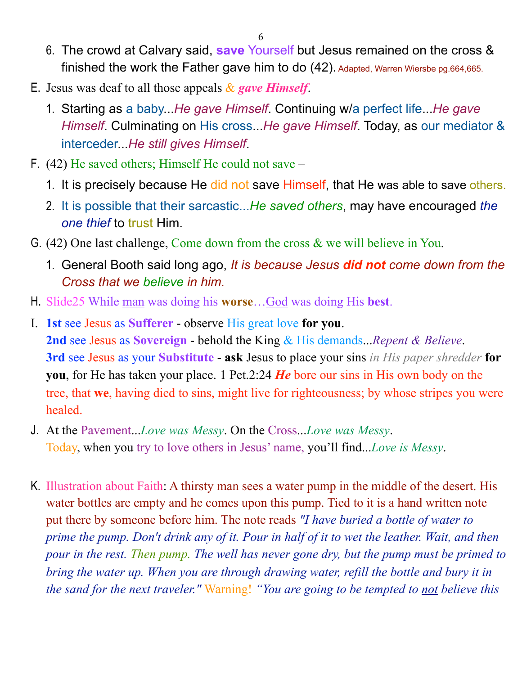- 6. The crowd at Calvary said, **save** Yourself but Jesus remained on the cross & finished the work the Father gave him to do (42). Adapted, Warren Wiersbe pg.664,665.
- E. Jesus was deaf to all those appeals & *gave Himself*.
	- 1. Starting as a baby...*He gave Himself*. Continuing w/a perfect life...*He gave Himself*. Culminating on His cross...*He gave Himself*. Today, as our mediator & interceder...*He still gives Himself*.
- F. (42) He saved others; Himself He could not save
	- 1. It is precisely because He did not save Himself, that He was able to save others.
	- 2. It is possible that their sarcastic...*He saved others*, may have encouraged *the one thief* to trust Him.
- G. (42) One last challenge, Come down from the cross & we will believe in You.
	- 1. General Booth said long ago, *It is because Jesus did not come down from the Cross that we believe in him.*
- H. Slide25 While man was doing his **worse**…God was doing His **best**.
- I. **1st** see Jesus as **Sufferer** observe His great love **for you**. **2nd** see Jesus as **Sovereign** - behold the King & His demands...*Repent & Believe*. **3rd** see Jesus as your **Substitute** - **ask** Jesus to place your sins *in His paper shredder* **for you**, for He has taken your place. 1 Pet.2:24 *He* bore our sins in His own body on the tree, that **we**, having died to sins, might live for righteousness; by whose stripes you were healed.
- J. At the Pavement...*Love was Messy*. On the Cross...*Love was Messy*. Today, when you try to love others in Jesus' name, you'll find...*Love is Messy*.
- K. Illustration about Faith: A thirsty man sees a water pump in the middle of the desert. His water bottles are empty and he comes upon this pump. Tied to it is a hand written note put there by someone before him. The note reads *"I have buried a bottle of water to prime the pump. Don't drink any of it. Pour in half of it to wet the leather. Wait, and then pour in the rest. Then pump. The well has never gone dry, but the pump must be primed to bring the water up. When you are through drawing water, refill the bottle and bury it in the sand for the next traveler."* Warning! *"You are going to be tempted to not believe this*